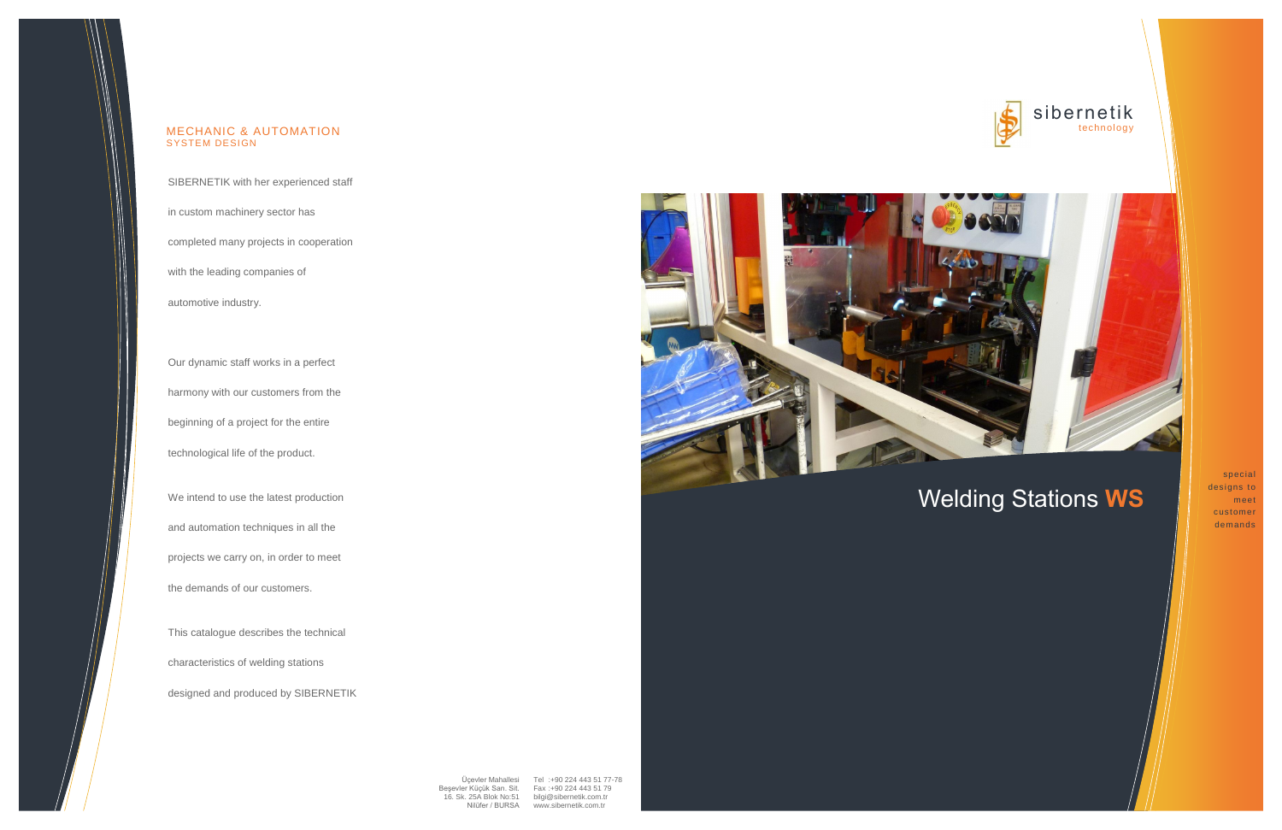## sibernetik technology

## Welding Stations **WS**

special designs to meet customer demands

SIBERNETIK with her experienced staff

in custom machinery sector has

completed many projects in cooperation

with the leading companies of

automotive industry.

Our dynamic staff works in a perfect harmony with our customers from the beginning of a project for the entire technological life of the product.

> Üçevler Mahallesi Tel :+90 224 443 51 77-78 [www.sibernetik.com.tr](http://www.sibernetik.com.tr/)



We intend to use the latest production and automation techniques in all the projects we carry on, in order to meet the demands of our customers.

This catalogue describes the technical characteristics of welding stations designed and produced by SIBERNETIK





### MECHANIC & AUTOMATION SYSTEM DESIGN